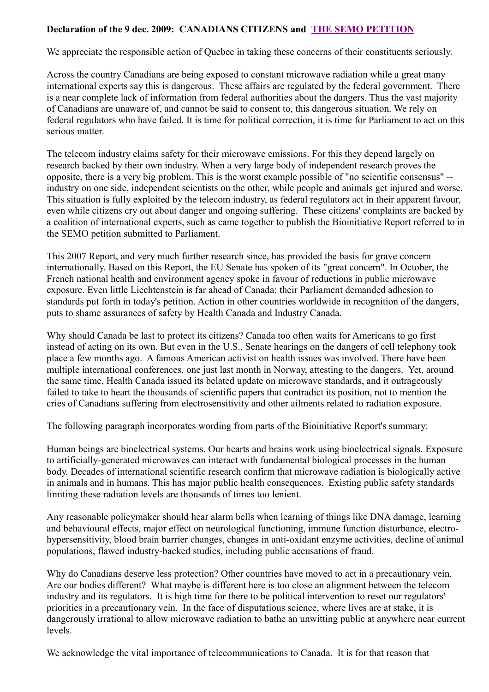#### **Declaration of the 9 dec. 2009: CANADIANS CITIZENS and [THE SEMO PETITION](about:blank)**

We appreciate the responsible action of Quebec in taking these concerns of their constituents seriously.

Across the country Canadians are being exposed to constant microwave radiation while a great many international experts say this is dangerous. These affairs are regulated by the federal government. There is a near complete lack of information from federal authorities about the dangers. Thus the vast majority of Canadians are unaware of, and cannot be said to consent to, this dangerous situation. We rely on federal regulators who have failed. It is time for political correction, it is time for Parliament to act on this serious matter.

The telecom industry claims safety for their microwave emissions. For this they depend largely on research backed by their own industry. When a very large body of independent research proves the opposite, there is a very big problem. This is the worst example possible of "no scientific consensus" - industry on one side, independent scientists on the other, while people and animals get injured and worse. This situation is fully exploited by the telecom industry, as federal regulators act in their apparent favour, even while citizens cry out about danger and ongoing suffering. These citizens' complaints are backed by a coalition of international experts, such as came together to publish the Bioinitiative Report referred to in the SEMO petition submitted to Parliament.

This 2007 Report, and very much further research since, has provided the basis for grave concern internationally. Based on this Report, the EU Senate has spoken of its "great concern". In October, the French national health and environment agency spoke in favour of reductions in public microwave exposure. Even little Liechtenstein is far ahead of Canada: their Parliament demanded adhesion to standards put forth in today's petition. Action in other countries worldwide in recognition of the dangers, puts to shame assurances of safety by Health Canada and Industry Canada.

Why should Canada be last to protect its citizens? Canada too often waits for Americans to go first instead of acting on its own. But even in the U.S., Senate hearings on the dangers of cell telephony took place a few months ago. A famous American activist on health issues was involved. There have been multiple international conferences, one just last month in Norway, attesting to the dangers. Yet, around the same time, Health Canada issued its belated update on microwave standards, and it outrageously failed to take to heart the thousands of scientific papers that contradict its position, not to mention the cries of Canadians suffering from electrosensitivity and other ailments related to radiation exposure.

The following paragraph incorporates wording from parts of the Bioinitiative Report's summary:

Human beings are bioelectrical systems. Our hearts and brains work using bioelectrical signals. Exposure to artificially-generated microwaves can interact with fundamental biological processes in the human body. Decades of international scientific research confirm that microwave radiation is biologically active in animals and in humans. This has major public health consequences. Existing public safety standards limiting these radiation levels are thousands of times too lenient.

Any reasonable policymaker should hear alarm bells when learning of things like DNA damage, learning and behavioural effects, major effect on neurological functioning, immune function disturbance, electrohypersensitivity, blood brain barrier changes, changes in anti-oxidant enzyme activities, decline of animal populations, flawed industry-backed studies, including public accusations of fraud.

Why do Canadians deserve less protection? Other countries have moved to act in a precautionary vein. Are our bodies different? What maybe is different here is too close an alignment between the telecom industry and its regulators. It is high time for there to be political intervention to reset our regulators' priorities in a precautionary vein. In the face of disputatious science, where lives are at stake, it is dangerously irrational to allow microwave radiation to bathe an unwitting public at anywhere near current levels.

We acknowledge the vital importance of telecommunications to Canada. It is for that reason that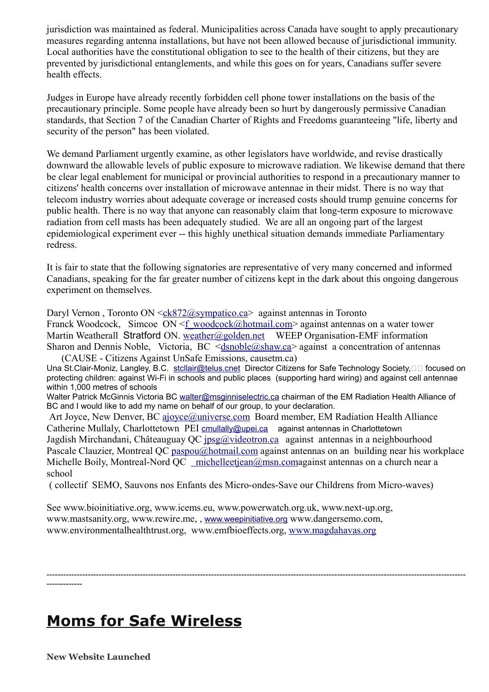jurisdiction was maintained as federal. Municipalities across Canada have sought to apply precautionary measures regarding antenna installations, but have not been allowed because of jurisdictional immunity. Local authorities have the constitutional obligation to see to the health of their citizens, but they are prevented by jurisdictional entanglements, and while this goes on for years, Canadians suffer severe health effects.

Judges in Europe have already recently forbidden cell phone tower installations on the basis of the precautionary principle. Some people have already been so hurt by dangerously permissive Canadian standards, that Section 7 of the Canadian Charter of Rights and Freedoms guaranteeing "life, liberty and security of the person" has been violated.

We demand Parliament urgently examine, as other legislators have worldwide, and revise drastically downward the allowable levels of public exposure to microwave radiation. We likewise demand that there be clear legal enablement for municipal or provincial authorities to respond in a precautionary manner to citizens' health concerns over installation of microwave antennae in their midst. There is no way that telecom industry worries about adequate coverage or increased costs should trump genuine concerns for public health. There is no way that anyone can reasonably claim that long-term exposure to microwave radiation from cell masts has been adequately studied. We are all an ongoing part of the largest epidemiological experiment ever -- this highly unethical situation demands immediate Parliamentary redress.

It is fair to state that the following signatories are representative of very many concerned and informed Canadians, speaking for the far greater number of citizens kept in the dark about this ongoing dangerous experiment on themselves.

Daryl Vernon, Toronto ON  $\leq c k 872 \textcircled{a}$ sympatico.ca against antennas in Toronto Franck Woodcock, Simcoe ON  $\leq f$  woodcock@hotmail.com> against antennas on a water tower Martin Weatherall Stratford ON. [weather@golden.net](about:blank) WEEP Organisation-EMF information Sharon and Dennis Noble, Victoria, BC  $\leq$ dsnoble@shaw.ca> against a concentration of antennas

(CAUSE - Citizens Against UnSafe Emissions, causetm.ca) Una St.Clair-Moniz, Langley, B.C. [stcllair@telus.cnet](about:blank) Director Citizens for Safe Technology Society,  $\Box$  focused on protecting children: against Wi-Fi in schools and public places (supporting hard wiring) and against cell antennae within 1,000 metres of schools

Walter Patrick McGinnis Victoria BC [walter@msginniselectric.ca](about:blank) chairman of the EM Radiation Health Alliance of BC and I would like to add my name on behalf of our group, to your declaration.

Art Joyce, New Denver, BC [ajoyce@universe.com](about:blank) Board member, EM Radiation Health Alliance Catherine Mullaly, Charlottetown PEI [cmullally@upei.ca](about:blank) against antennas in Charlottetown Jagdish Mirchandani, Châteauguay QC [jpsg@videotron.ca](about:blank) against antennas in a neighbourhood Pascale Clauzier, Montreal QC [paspou@hotmail.com](about:blank) against antennas on an building near his workplace Michelle Boily, Montreal-Nord QC [michelleetjean@msn.coma](about:blank)gainst antennas on a church near a school

( collectif SEMO, Sauvons nos Enfants des Micro-ondes-Save our Childrens from Micro-waves)

See www.bioinitiative.org, www.icems.eu, www.powerwatch.org.uk, www.next-up.org, www.mastsanity.org, www.rewire.me, , [www.weepinitiative.org](about:blank) www.dangersemo.com, www.environmentalhealthtrust.org, www.emfbioeffects.org, [www.magdahavas.org](about:blank)

--------------------------------------------------------------------------------------------------------------------------------------------------------- -------------

# **Moms for Safe Wireless**

**New Website Launched**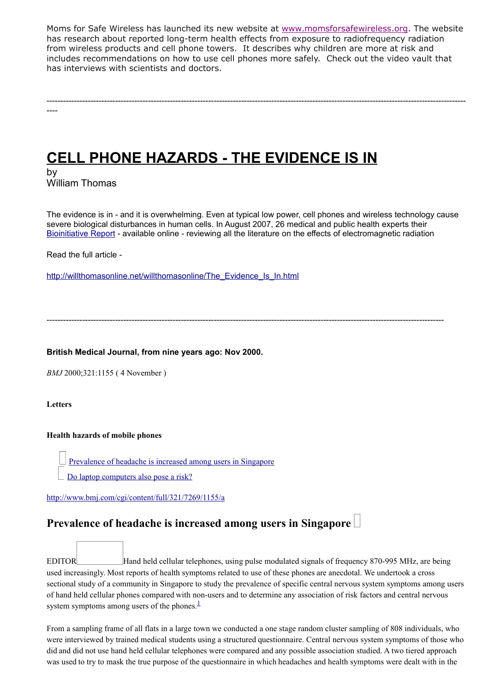Moms for Safe Wireless has launched its new website at [www.momsforsafewireless.org.](http://momsforsafewireless.us1.list-manage.com/track/click?u=c2ed8f27005413f71d7d4f53e&id=ac7614a489&e=8f0570020a) The website has research about reported long-term health effects from exposure to radiofrequency radiation from wireless products and cell phone towers. It describes why children are more at risk and includes recommendations on how to use cell phones more safely. Check out the video vault that has interviews with scientists and doctors.

---------------------------------------------------------------------------------------------------------------------------------------------------------

**CELL PHONE HAZARDS - THE EVIDENCE IS IN**

by William Thomas

----

The evidence is in - and it is overwhelming. Even at typical low power, cell phones and wireless technology cause severe biological disturbances in human cells. In August 2007, 26 medical and public health experts their [Bioinitiative Report](http://www.bioinitiative.org/report/index.htm) - available online - reviewing all the literature on the effects of electromagnetic radiation

Read the full article -

[http://willthomasonline.net/willthomasonline/The\\_Evidence\\_Is\\_In.html](http://willthomasonline.net/willthomasonline/The_Evidence_Is_In.html)

-------------------------------------------------------------------------------------------------------------------------------------------------

**British Medical Journal, from nine years ago: Nov 2000.**

*BMJ* 2000;321:1155 ( 4 November )

**Letters**

#### **Health hazards of mobile phones**

[Prevalence of headache is increased among users in Singapore](http://www.bmj.com/cgi/content/full/321/7269/1155/a#art)

[Do laptop computers also pose a risk?](http://www.bmj.com/cgi/content/full/321/7269/1155/a#resp1)

<http://www.bmj.com/cgi/content/full/321/7269/1155/a>

### **Prevalence of headache is increased among users in Singapore**

EDITOR Hand held cellular telephones, using pulse modulated signals of frequency 870-995 MHz, are being used increasingly. Most reports of health symptoms related to use of these phones are anecdotal. We undertook a cross sectional study of a community in Singapore to study the prevalence of specific central nervous system symptoms among users of hand held cellular phones compared with non-users and to determine any association of risk factors and central nervous system symptoms among users of the phones. $\frac{1}{1}$  $\frac{1}{1}$  $\frac{1}{1}$ 

From a sampling frame of all flats in a large town we conducted a one stage random cluster sampling of 808 individuals, who were interviewed by trained medical students using a structured questionnaire. Central nervous system symptoms of those who did and did not use hand held cellular telephones were compared and any possible association studied. A two tiered approach was used to try to mask the true purpose of the questionnaire in which headaches and health symptoms were dealt with in the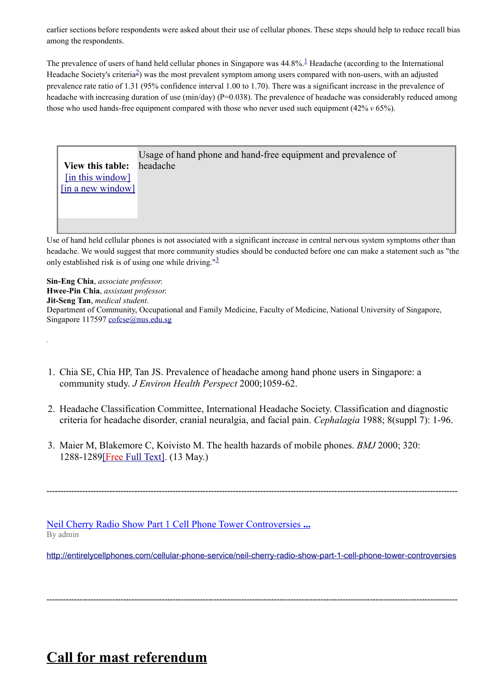earlier sections before respondents were asked about their use of cellular phones. These steps should help to reduce recall bias among the respondents.

The prevalence of users of hand held cellular phones in Singapore was  $44.8\%$ .<sup>[1](http://www.bmj.com/cgi/content/full/321/7269/1155/a#B1)</sup> Headache (according to the International Headache Society's criteria<sup>[2](http://www.bmj.com/cgi/content/full/321/7269/1155/a#B2)</sup>) was the most prevalent symptom among users compared with non-users, with an adjusted prevalence rate ratio of 1.31 (95% confidence interval 1.00 to 1.70). There was a significant increase in the prevalence of headache with increasing duration of use (min/day) ( $P=0.038$ ). The prevalence of headache was considerably reduced among those who used hands-free equipment compared with those who never used such equipment (42% *v* 65%).



Use of hand held cellular phones is not associated with a significant increase in central nervous system symptoms other than headache. We would suggest that more community studies should be conducted before one can make a statement such as "the only established risk is of using one while driving." $\frac{3}{2}$  $\frac{3}{2}$  $\frac{3}{2}$ 

**Sin-Eng Chia**, *associate professor*. **Hwee-Pin Chia**, *assistant professor*. **Jit-Seng Tan**, *medical student*. Department of Community, Occupational and Family Medicine, Faculty of Medicine, National University of Singapore, Singapore 117597 [cofcse@nus.edu.sg](mailto:cofcse@nus.edu.sg)

- 1. Chia SE, Chia HP, Tan JS. Prevalence of headache among hand phone users in Singapore: a community study. *J Environ Health Perspect* 2000;1059-62.
- 2. Headache Classification Committee, International Headache Society. Classification and diagnostic criteria for headache disorder, cranial neuralgia, and facial pain. *Cephalagia* 1988; 8(suppl 7): 1-96.
- 3. Maier M, Blakemore C, Koivisto M. The health hazards of mobile phones. *BMJ* 2000; 320: 1288-1289 [Free Full Text]. (13 May.)

 [Neil Cherry Radio Show Part 1 Cell Phone Tower Controversies](http://www.google.com/url?sa=X&q=http://entirelycellphones.com/cellular-phone-service/neil-cherry-radio-show-part-1-cell-phone-tower-controversies&ct=ga&cd=VBfwXEZ5Yf8&usg=AFQjCNHi2s5JIB61ELc64QsQ7cKZM3PjDQ) **...** By admin

<http://entirelycellphones.com/cellular-phone-service/neil-cherry-radio-show-part-1-cell-phone-tower-controversies>

------------------------------------------------------------------------------------------------------------------------------------------------------

------------------------------------------------------------------------------------------------------------------------------------------------------

**Call for mast referendum**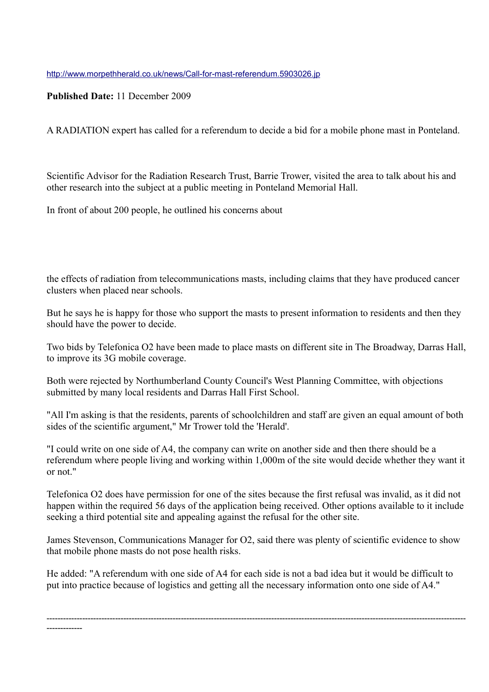<http://www.morpethherald.co.uk/news/Call-for-mast-referendum.5903026.jp>

**Published Date:** 11 December 2009

A RADIATION expert has called for a referendum to decide a bid for a mobile phone mast in Ponteland.

Scientific Advisor for the Radiation Research Trust, Barrie Trower, visited the area to talk about his and other research into the subject at a public meeting in Ponteland Memorial Hall.

In front of about 200 people, he outlined his concerns about

the effects of radiation from telecommunications masts, including claims that they have produced cancer clusters when placed near schools.

But he says he is happy for those who support the masts to present information to residents and then they should have the power to decide.

Two bids by Telefonica O2 have been made to place masts on different site in The Broadway, Darras Hall, to improve its 3G mobile coverage.

Both were rejected by Northumberland County Council's West Planning Committee, with objections submitted by many local residents and Darras Hall First School.

"All I'm asking is that the residents, parents of schoolchildren and staff are given an equal amount of both sides of the scientific argument," Mr Trower told the 'Herald'.

"I could write on one side of A4, the company can write on another side and then there should be a referendum where people living and working within 1,000m of the site would decide whether they want it or not."

Telefonica O2 does have permission for one of the sites because the first refusal was invalid, as it did not happen within the required 56 days of the application being received. Other options available to it include seeking a third potential site and appealing against the refusal for the other site.

James Stevenson, Communications Manager for O2, said there was plenty of scientific evidence to show that mobile phone masts do not pose health risks.

He added: "A referendum with one side of A4 for each side is not a bad idea but it would be difficult to put into practice because of logistics and getting all the necessary information onto one side of A4."

--------------------------------------------------------------------------------------------------------------------------------------------------------- -------------